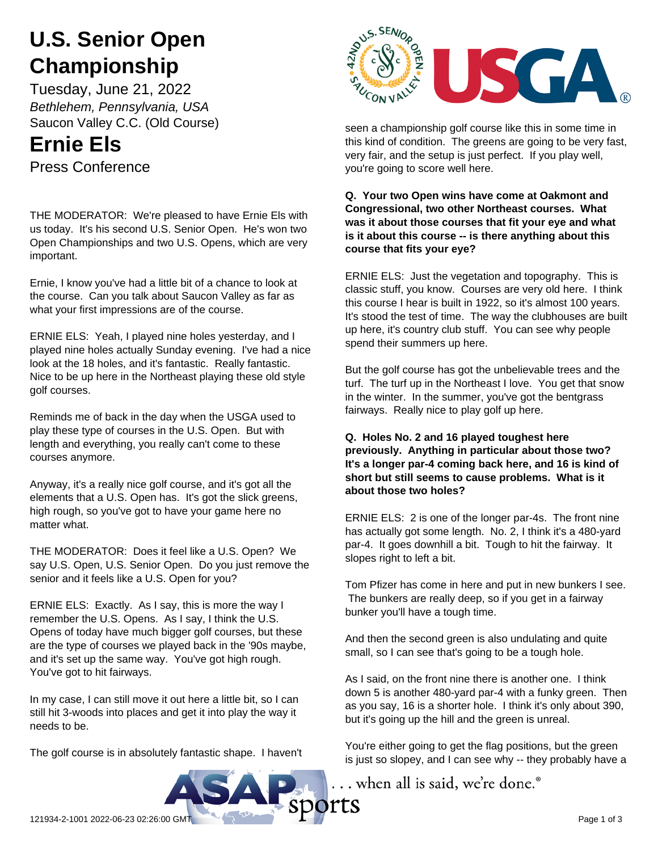# **U.S. Senior Open Championship**

Tuesday, June 21, 2022 *Bethlehem, Pennsylvania, USA* Saucon Valley C.C. (Old Course)

## **Ernie Els**

Press Conference

THE MODERATOR: We're pleased to have Ernie Els with us today. It's his second U.S. Senior Open. He's won two Open Championships and two U.S. Opens, which are very important.

Ernie, I know you've had a little bit of a chance to look at the course. Can you talk about Saucon Valley as far as what your first impressions are of the course.

ERNIE ELS: Yeah, I played nine holes yesterday, and I played nine holes actually Sunday evening. I've had a nice look at the 18 holes, and it's fantastic. Really fantastic. Nice to be up here in the Northeast playing these old style golf courses.

Reminds me of back in the day when the USGA used to play these type of courses in the U.S. Open. But with length and everything, you really can't come to these courses anymore.

Anyway, it's a really nice golf course, and it's got all the elements that a U.S. Open has. It's got the slick greens, high rough, so you've got to have your game here no matter what.

THE MODERATOR: Does it feel like a U.S. Open? We say U.S. Open, U.S. Senior Open. Do you just remove the senior and it feels like a U.S. Open for you?

ERNIE ELS: Exactly. As I say, this is more the way I remember the U.S. Opens. As I say, I think the U.S. Opens of today have much bigger golf courses, but these are the type of courses we played back in the '90s maybe, and it's set up the same way. You've got high rough. You've got to hit fairways.

In my case, I can still move it out here a little bit, so I can still hit 3-woods into places and get it into play the way it needs to be.

The golf course is in absolutely fantastic shape. I haven't



seen a championship golf course like this in some time in this kind of condition. The greens are going to be very fast, very fair, and the setup is just perfect. If you play well, you're going to score well here.

**Q. Your two Open wins have come at Oakmont and Congressional, two other Northeast courses. What was it about those courses that fit your eye and what is it about this course -- is there anything about this course that fits your eye?**

ERNIE ELS: Just the vegetation and topography. This is classic stuff, you know. Courses are very old here. I think this course I hear is built in 1922, so it's almost 100 years. It's stood the test of time. The way the clubhouses are built up here, it's country club stuff. You can see why people spend their summers up here.

But the golf course has got the unbelievable trees and the turf. The turf up in the Northeast I love. You get that snow in the winter. In the summer, you've got the bentgrass fairways. Really nice to play golf up here.

**Q. Holes No. 2 and 16 played toughest here previously. Anything in particular about those two? It's a longer par-4 coming back here, and 16 is kind of short but still seems to cause problems. What is it about those two holes?**

ERNIE ELS: 2 is one of the longer par-4s. The front nine has actually got some length. No. 2, I think it's a 480-yard par-4. It goes downhill a bit. Tough to hit the fairway. It slopes right to left a bit.

Tom Pfizer has come in here and put in new bunkers I see. The bunkers are really deep, so if you get in a fairway bunker you'll have a tough time.

And then the second green is also undulating and quite small, so I can see that's going to be a tough hole.

As I said, on the front nine there is another one. I think down 5 is another 480-yard par-4 with a funky green. Then as you say, 16 is a shorter hole. I think it's only about 390, but it's going up the hill and the green is unreal.

You're either going to get the flag positions, but the green is just so slopey, and I can see why -- they probably have a

... when all is said, we're done.<sup>®</sup>

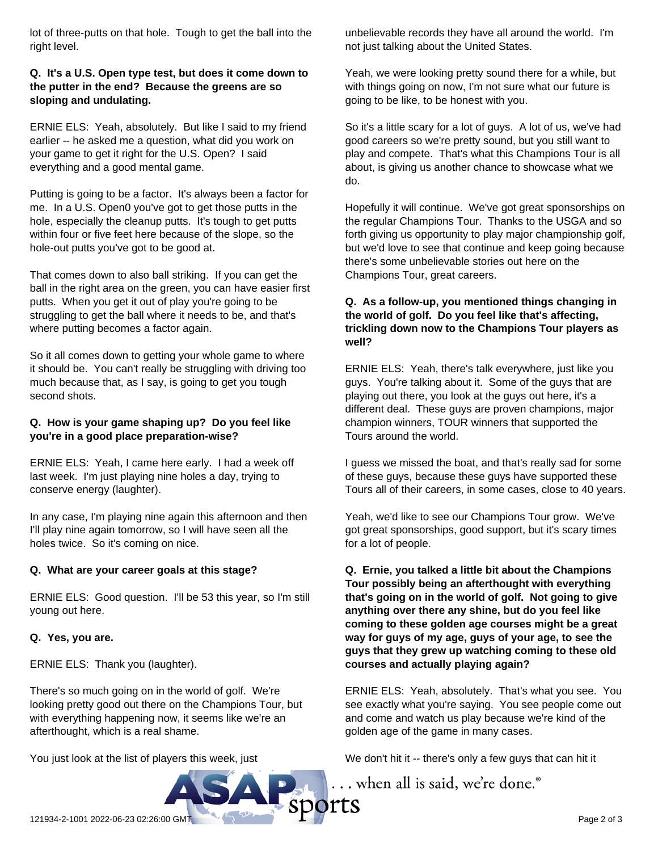lot of three-putts on that hole. Tough to get the ball into the right level.

#### **Q. It's a U.S. Open type test, but does it come down to the putter in the end? Because the greens are so sloping and undulating.**

ERNIE ELS: Yeah, absolutely. But like I said to my friend earlier -- he asked me a question, what did you work on your game to get it right for the U.S. Open? I said everything and a good mental game.

Putting is going to be a factor. It's always been a factor for me. In a U.S. Open0 you've got to get those putts in the hole, especially the cleanup putts. It's tough to get putts within four or five feet here because of the slope, so the hole-out putts you've got to be good at.

That comes down to also ball striking. If you can get the ball in the right area on the green, you can have easier first putts. When you get it out of play you're going to be struggling to get the ball where it needs to be, and that's where putting becomes a factor again.

So it all comes down to getting your whole game to where it should be. You can't really be struggling with driving too much because that, as I say, is going to get you tough second shots.

## **Q. How is your game shaping up? Do you feel like you're in a good place preparation-wise?**

ERNIE ELS: Yeah, I came here early. I had a week off last week. I'm just playing nine holes a day, trying to conserve energy (laughter).

In any case, I'm playing nine again this afternoon and then I'll play nine again tomorrow, so I will have seen all the holes twice. So it's coming on nice.

## **Q. What are your career goals at this stage?**

ERNIE ELS: Good question. I'll be 53 this year, so I'm still young out here.

#### **Q. Yes, you are.**

ERNIE ELS: Thank you (laughter).

There's so much going on in the world of golf. We're looking pretty good out there on the Champions Tour, but with everything happening now, it seems like we're an afterthought, which is a real shame.

You just look at the list of players this week, just

unbelievable records they have all around the world. I'm not just talking about the United States.

Yeah, we were looking pretty sound there for a while, but with things going on now, I'm not sure what our future is going to be like, to be honest with you.

So it's a little scary for a lot of guys. A lot of us, we've had good careers so we're pretty sound, but you still want to play and compete. That's what this Champions Tour is all about, is giving us another chance to showcase what we do.

Hopefully it will continue. We've got great sponsorships on the regular Champions Tour. Thanks to the USGA and so forth giving us opportunity to play major championship golf, but we'd love to see that continue and keep going because there's some unbelievable stories out here on the Champions Tour, great careers.

## **Q. As a follow-up, you mentioned things changing in the world of golf. Do you feel like that's affecting, trickling down now to the Champions Tour players as well?**

ERNIE ELS: Yeah, there's talk everywhere, just like you guys. You're talking about it. Some of the guys that are playing out there, you look at the guys out here, it's a different deal. These guys are proven champions, major champion winners, TOUR winners that supported the Tours around the world.

I guess we missed the boat, and that's really sad for some of these guys, because these guys have supported these Tours all of their careers, in some cases, close to 40 years.

Yeah, we'd like to see our Champions Tour grow. We've got great sponsorships, good support, but it's scary times for a lot of people.

**Q. Ernie, you talked a little bit about the Champions Tour possibly being an afterthought with everything that's going on in the world of golf. Not going to give anything over there any shine, but do you feel like coming to these golden age courses might be a great way for guys of my age, guys of your age, to see the guys that they grew up watching coming to these old courses and actually playing again?**

ERNIE ELS: Yeah, absolutely. That's what you see. You see exactly what you're saying. You see people come out and come and watch us play because we're kind of the golden age of the game in many cases.

We don't hit it -- there's only a few guys that can hit it

... when all is said, we're done.®